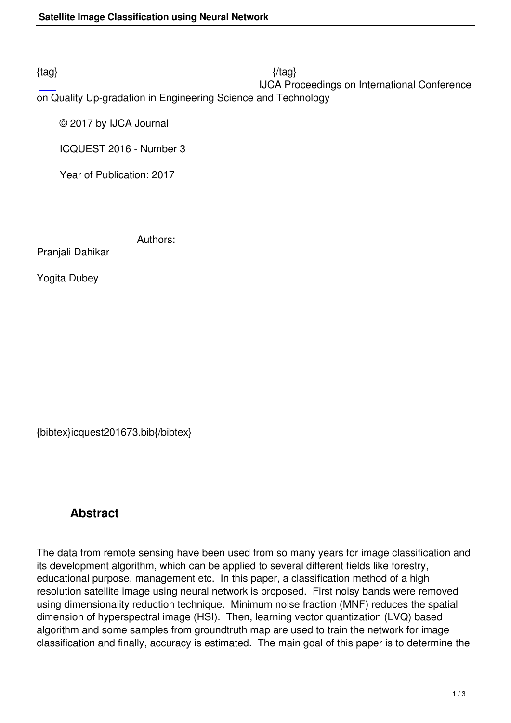$\{tag\}$ 

IJCA Proceedings on International Conference

on Quality Up-gradation in Engineering Science and Technology

© 2017 by IJCA Journal

ICQUEST 2016 - Number 3

Year of Publication: 2017

Authors:

Pranjali Dahikar

Yogita Dubey

{bibtex}icquest201673.bib{/bibtex}

## **Abstract**

The data from remote sensing have been used from so many years for image classification and its development algorithm, which can be applied to several different fields like forestry, educational purpose, management etc. In this paper, a classification method of a high resolution satellite image using neural network is proposed. First noisy bands were removed using dimensionality reduction technique. Minimum noise fraction (MNF) reduces the spatial dimension of hyperspectral image (HSI). Then, learning vector quantization (LVQ) based algorithm and some samples from groundtruth map are used to train the network for image classification and finally, accuracy is estimated. The main goal of this paper is to determine the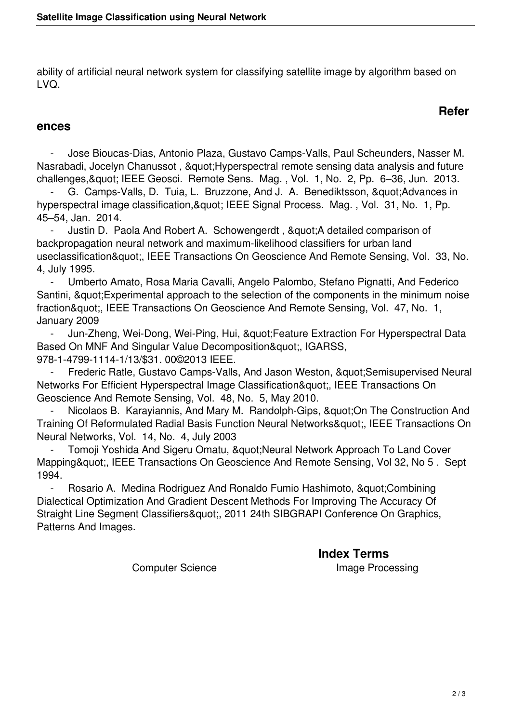ability of artificial neural network system for classifying satellite image by algorithm based on LVQ.

## **Refer**

## **ences**

 - Jose Bioucas-Dias, Antonio Plaza, Gustavo Camps-Valls, Paul Scheunders, Nasser M. Nasrabadi, Jocelyn Chanussot, " Hyperspectral remote sensing data analysis and future challenges, & quot; IEEE Geosci. Remote Sens. Mag., Vol. 1, No. 2, Pp. 6-36, Jun. 2013.

G. Camps-Valls, D. Tuia, L. Bruzzone, And J. A. Benediktsson, " Advances in hyperspectral image classification, & quot; IEEE Signal Process. Mag., Vol. 31, No. 1, Pp. 45–54, Jan. 2014.

Justin D. Paola And Robert A. Schowengerdt, "A detailed comparison of backpropagation neural network and maximum-likelihood classifiers for urban land useclassification", IEEE Transactions On Geoscience And Remote Sensing, Vol. 33, No. 4, July 1995.

 - Umberto Amato, Rosa Maria Cavalli, Angelo Palombo, Stefano Pignatti, And Federico Santini, & quot; Experimental approach to the selection of the components in the minimum noise fraction", IEEE Transactions On Geoscience And Remote Sensing, Vol. 47, No. 1, January 2009

Jun-Zheng, Wei-Dong, Wei-Ping, Hui, & quot; Feature Extraction For Hyperspectral Data Based On MNF And Singular Value Decomposition", IGARSS, 978-1-4799-1114-1/13/\$31. 00©2013 IEEE.

Frederic Ratle, Gustavo Camps-Valls, And Jason Weston, &quot: Semisupervised Neural Networks For Efficient Hyperspectral Image Classification", IEEE Transactions On Geoscience And Remote Sensing, Vol. 48, No. 5, May 2010.

Nicolaos B. Karayiannis, And Mary M. Randolph-Gips, "On The Construction And Training Of Reformulated Radial Basis Function Neural Networks", IEEE Transactions On Neural Networks, Vol. 14, No. 4, July 2003

Tomoji Yoshida And Sigeru Omatu, & quot; Neural Network Approach To Land Cover Mapping", IEEE Transactions On Geoscience And Remote Sensing, Vol 32, No 5 . Sept 1994.

Rosario A. Medina Rodriguez And Ronaldo Fumio Hashimoto, " Combining Dialectical Optimization And Gradient Descent Methods For Improving The Accuracy Of Straight Line Segment Classifiers", 2011 24th SIBGRAPI Conference On Graphics, Patterns And Images.

**Index Terms** 

Computer Science **Image Processing**